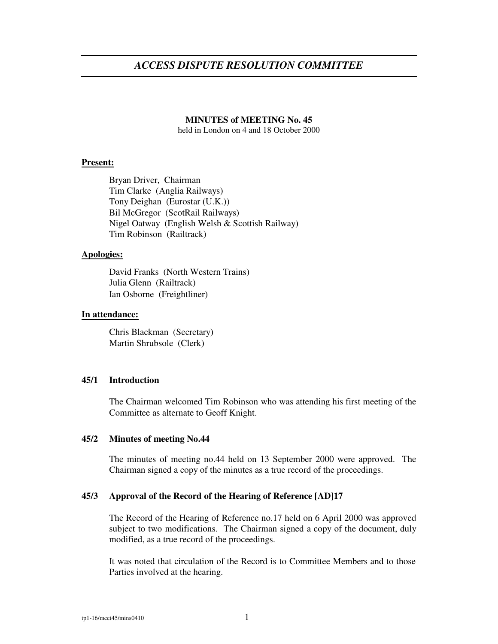# *ACCESS DISPUTE RESOLUTION COMMITTEE*

#### **MINUTES of MEETING No. 45**

held in London on 4 and 18 October 2000

#### **Present:**

Bryan Driver, Chairman Tim Clarke (Anglia Railways) Tony Deighan (Eurostar (U.K.)) Bil McGregor (ScotRail Railways) Nigel Oatway (English Welsh & Scottish Railway) Tim Robinson (Railtrack)

#### **Apologies:**

David Franks (North Western Trains) Julia Glenn (Railtrack) Ian Osborne (Freightliner)

#### **In attendance:**

Chris Blackman (Secretary) Martin Shrubsole (Clerk)

# **45/1 Introduction**

The Chairman welcomed Tim Robinson who was attending his first meeting of the Committee as alternate to Geoff Knight.

#### **45/2 Minutes of meeting No.44**

The minutes of meeting no.44 held on 13 September 2000 were approved. The Chairman signed a copy of the minutes as a true record of the proceedings.

## **45/3 Approval of the Record of the Hearing of Reference [AD]17**

The Record of the Hearing of Reference no.17 held on 6 April 2000 was approved subject to two modifications. The Chairman signed a copy of the document, duly modified, as a true record of the proceedings.

It was noted that circulation of the Record is to Committee Members and to those Parties involved at the hearing.